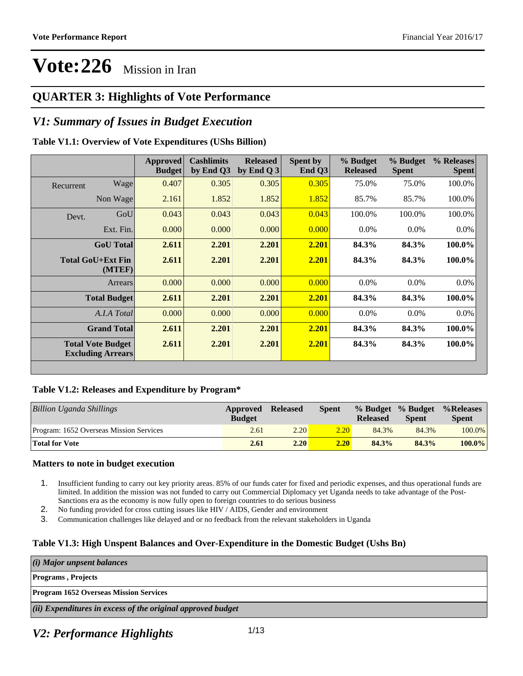### **QUARTER 3: Highlights of Vote Performance**

### *V1: Summary of Issues in Budget Execution*

#### **Table V1.1: Overview of Vote Expenditures (UShs Billion)**

|           |                                                      | <b>Approved</b><br><b>Budget</b> | <b>Cashlimits</b><br>by End Q3 | <b>Released</b><br>by End Q $3$ | Spent by<br>End $Q3$ | % Budget<br><b>Released</b> | % Budget<br><b>Spent</b> | % Releases<br><b>Spent</b> |
|-----------|------------------------------------------------------|----------------------------------|--------------------------------|---------------------------------|----------------------|-----------------------------|--------------------------|----------------------------|
| Recurrent | Wage                                                 | 0.407                            | 0.305                          | 0.305                           | 0.305                | 75.0%                       | 75.0%                    | 100.0%                     |
|           | Non Wage                                             | 2.161                            | 1.852                          | 1.852                           | 1.852                | 85.7%                       | 85.7%                    | 100.0%                     |
| Devt.     | GoU                                                  | 0.043                            | 0.043                          | 0.043                           | 0.043                | 100.0%                      | 100.0%                   | 100.0%                     |
|           | Ext. Fin.                                            | 0.000                            | 0.000                          | 0.000                           | 0.000                | $0.0\%$                     | $0.0\%$                  | $0.0\%$                    |
|           | <b>GoU</b> Total                                     | 2.611                            | 2.201                          | 2.201                           | 2.201                | 84.3%                       | 84.3%                    | 100.0%                     |
|           | <b>Total GoU+Ext Fin</b><br>(MTEF)                   | 2.611                            | 2.201                          | 2.201                           | 2.201                | 84.3%                       | 84.3%                    | 100.0%                     |
|           | Arrears                                              | 0.000                            | 0.000                          | 0.000                           | 0.000                | $0.0\%$                     | 0.0%                     | $0.0\%$                    |
|           | <b>Total Budget</b>                                  | 2.611                            | 2.201                          | 2.201                           | 2.201                | 84.3%                       | 84.3%                    | 100.0%                     |
|           | A.I.A Total                                          | 0.000                            | 0.000                          | 0.000                           | 0.000                | $0.0\%$                     | $0.0\%$                  | $0.0\%$                    |
|           | <b>Grand Total</b>                                   | 2.611                            | 2.201                          | 2.201                           | 2.201                | 84.3%                       | 84.3%                    | 100.0%                     |
|           | <b>Total Vote Budget</b><br><b>Excluding Arrears</b> | 2.611                            | 2.201                          | 2.201                           | 2.201                | 84.3%                       | 84.3%                    | 100.0%                     |

#### **Table V1.2: Releases and Expenditure by Program\***

| <b>Billion Uganda Shillings</b>         | Approved<br><b>Budget</b> | <b>Released</b> | <b>Spent</b> | <b>Released</b> | % Budget % Budget<br><b>Spent</b> | %Releases<br><b>Spent</b> |
|-----------------------------------------|---------------------------|-----------------|--------------|-----------------|-----------------------------------|---------------------------|
| Program: 1652 Overseas Mission Services | 2.61                      | 2.20            | 2.20         | 84.3%           | 84.3%                             | $100.0\%$                 |
| <b>Total for Vote</b>                   | 2.61                      | 2.20            | 2.20         | 84.3%           | 84.3%                             | $100.0\%$                 |

#### **Matters to note in budget execution**

- 1. Insufficient funding to carry out key priority areas. 85% of our funds cater for fixed and periodic expenses, and thus operational funds are limited. In addition the mission was not funded to carry out Commercial Diplomacy yet Uganda needs to take advantage of the Post-Sanctions era as the economy is now fully open to foreign countries to do serious business
- 2. No funding provided for cross cutting issues like HIV / AIDS, Gender and environment
- 3. Communication challenges like delayed and or no feedback from the relevant stakeholders in Uganda

#### **Table V1.3: High Unspent Balances and Over-Expenditure in the Domestic Budget (Ushs Bn)**

*(i) Major unpsent balances*

#### **Programs , Projects**

**Program 1652 Overseas Mission Services**

*(ii) Expenditures in excess of the original approved budget*

### *V2: Performance Highlights*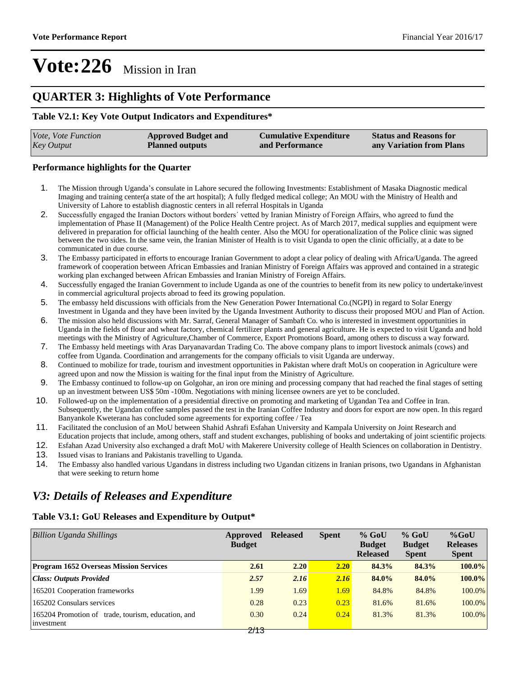### **QUARTER 3: Highlights of Vote Performance**

#### **Table V2.1: Key Vote Output Indicators and Expenditures\***

| <i>Vote, Vote Function</i> | <b>Approved Budget and</b> | <b>Cumulative Expenditure</b> | <b>Status and Reasons for</b> |
|----------------------------|----------------------------|-------------------------------|-------------------------------|
| <b>Key Output</b>          | <b>Planned outputs</b>     | and Performance               | any Variation from Plans      |

#### **Performance highlights for the Quarter**

- 1. The Mission through Uganda's consulate in Lahore secured the following Investments: Establishment of Masaka Diagnostic medical Imaging and training center(a state of the art hospital); A fully fledged medical college; An MOU with the Ministry of Health and University of Lahore to establish diagnostic centers in all referral Hospitals in Uganda
- 2. Successfully engaged the Iranian Doctors without borders' vetted by Iranian Ministry of Foreign Affairs, who agreed to fund the implementation of Phase II (Management) of the Police Health Centre project. As of March 2017, medical supplies and equipment were delivered in preparation for official launching of the health center. Also the MOU for operationalization of the Police clinic was signed between the two sides. In the same vein, the Iranian Minister of Health is to visit Uganda to open the clinic officially, at a date to be communicated in due course.
- 3. The Embassy participated in efforts to encourage Iranian Government to adopt a clear policy of dealing with Africa/Uganda. The agreed framework of cooperation between African Embassies and Iranian Ministry of Foreign Affairs was approved and contained in a strategic working plan exchanged between African Embassies and Iranian Ministry of Foreign Affairs.
- 4. Successfully engaged the Iranian Government to include Uganda as one of the countries to benefit from its new policy to undertake/invest in commercial agricultural projects abroad to feed its growing population.
- 5. The embassy held discussions with officials from the New Generation Power International Co.(NGPI) in regard to Solar Energy Investment in Uganda and they have been invited by the Uganda Investment Authority to discuss their proposed MOU and Plan of Action.
- 6. The mission also held discussions with Mr. Sarraf, General Manager of Sambaft Co. who is interested in investment opportunities in Uganda in the fields of flour and wheat factory, chemical fertilizer plants and general agriculture. He is expected to visit Uganda and hold meetings with the Ministry of Agriculture,Chamber of Commerce, Export Promotions Board, among others to discuss a way forward.
- 7. The Embassy held meetings with Aras Daryanavardan Trading Co. The above company plans to import livestock animals (cows) and coffee from Uganda. Coordination and arrangements for the company officials to visit Uganda are underway.
- 8. Continued to mobilize for trade, tourism and investment opportunities in Pakistan where draft MoUs on cooperation in Agriculture were agreed upon and now the Mission is waiting for the final input from the Ministry of Agriculture.
- 9. The Embassy continued to follow-up on Golgohar, an iron ore mining and processing company that had reached the final stages of setting up an investment between US\$ 50m -100m. Negotiations with mining licensee owners are yet to be concluded.
- 10. Followed-up on the implementation of a presidential directive on promoting and marketing of Ugandan Tea and Coffee in Iran. Subsequently, the Ugandan coffee samples passed the test in the Iranian Coffee Industry and doors for export are now open. In this regard Banyankole Kweterana has concluded some agreements for exporting coffee / Tea
- 11. Facilitated the conclusion of an MoU between Shahid Ashrafi Esfahan University and Kampala University on Joint Research and Education projects that include, among others, staff and student exchanges, publishing of books and undertaking of joint scientific projects.
- 12. Esfahan Azad University also exchanged a draft MoU with Makerere University college of Health Sciences on collaboration in Dentistry.
- 13. Issued visas to Iranians and Pakistanis travelling to Uganda.
- 14. The Embassy also handled various Ugandans in distress including two Ugandan citizens in Iranian prisons, two Ugandans in Afghanistan that were seeking to return home

### *V3: Details of Releases and Expenditure*

#### **Table V3.1: GoU Releases and Expenditure by Output\***

| Billion Uganda Shillings                                         | Approved<br><b>Budget</b> | <b>Released</b> | <b>Spent</b> | $%$ GoU<br><b>Budget</b><br><b>Released</b> | $%$ GoU<br><b>Budget</b><br><b>Spent</b> | $%$ GoU<br><b>Releases</b><br><b>Spent</b> |
|------------------------------------------------------------------|---------------------------|-----------------|--------------|---------------------------------------------|------------------------------------------|--------------------------------------------|
| <b>Program 1652 Overseas Mission Services</b>                    | 2.61                      | 2.20            | 2.20         | 84.3%                                       | 84.3%                                    | 100.0%                                     |
| <b>Class: Outputs Provided</b>                                   | 2.57                      | 2.16            | 2.16         | 84.0%                                       | 84.0%                                    | 100.0%                                     |
| 165201 Cooperation frameworks                                    | 1.99                      | 1.69            | 1.69         | 84.8%                                       | 84.8%                                    | 100.0%                                     |
| 165202 Consulars services                                        | 0.28                      | 0.23            | 0.23         | 81.6%                                       | 81.6%                                    | 100.0%                                     |
| 165204 Promotion of trade, tourism, education, and<br>investment | 0.30<br>$\mathbf{A}$      | 0.24            | 0.24         | 81.3%                                       | 81.3%                                    | 100.0%                                     |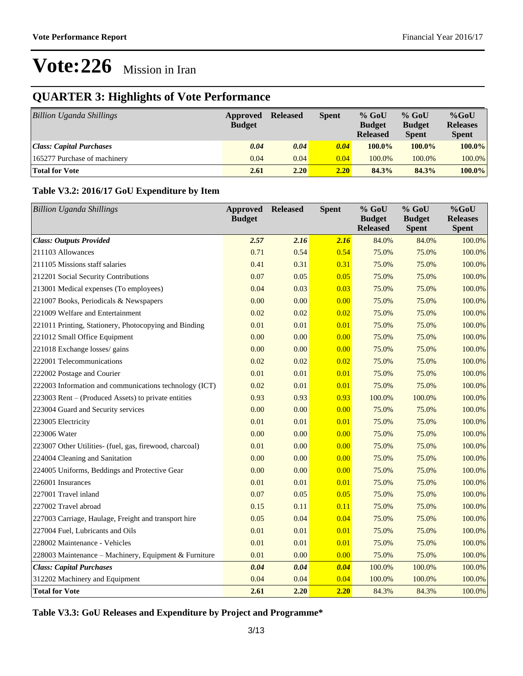## **QUARTER 3: Highlights of Vote Performance**

| <b>Billion Uganda Shillings</b> | Approved<br><b>Budget</b> | <b>Released</b> | <b>Spent</b> | $%$ GoU<br><b>Budget</b><br><b>Released</b> | $%$ GoU<br><b>Budget</b><br><b>Spent</b> | $%$ GoU<br><b>Releases</b><br><b>Spent</b> |
|---------------------------------|---------------------------|-----------------|--------------|---------------------------------------------|------------------------------------------|--------------------------------------------|
| <b>Class: Capital Purchases</b> | 0.04                      | 0.04            | 0.04         | $100.0\%$                                   | $100.0\%$                                | 100.0%                                     |
| 165277 Purchase of machinery    | 0.04                      | 0.04            | 0.04         | 100.0%                                      | 100.0%                                   | 100.0%                                     |
| <b>Total for Vote</b>           | 2.61                      | 2.20            | 2.20         | 84.3%                                       | 84.3%                                    | 100.0%                                     |

### **Table V3.2: 2016/17 GoU Expenditure by Item**

| <b>Billion Uganda Shillings</b>                         | <b>Approved</b><br><b>Budget</b> | <b>Released</b> | <b>Spent</b> | $%$ GoU<br><b>Budget</b><br><b>Released</b> | % GoU<br><b>Budget</b><br><b>Spent</b> | $%$ GoU<br><b>Releases</b><br><b>Spent</b> |
|---------------------------------------------------------|----------------------------------|-----------------|--------------|---------------------------------------------|----------------------------------------|--------------------------------------------|
| <b>Class: Outputs Provided</b>                          | 2.57                             | 2.16            | 2.16         | 84.0%                                       | 84.0%                                  | 100.0%                                     |
| 211103 Allowances                                       | 0.71                             | 0.54            | 0.54         | 75.0%                                       | 75.0%                                  | 100.0%                                     |
| 211105 Missions staff salaries                          | 0.41                             | 0.31            | 0.31         | 75.0%                                       | 75.0%                                  | 100.0%                                     |
| 212201 Social Security Contributions                    | 0.07                             | 0.05            | 0.05         | 75.0%                                       | 75.0%                                  | 100.0%                                     |
| 213001 Medical expenses (To employees)                  | 0.04                             | 0.03            | 0.03         | 75.0%                                       | 75.0%                                  | 100.0%                                     |
| 221007 Books, Periodicals & Newspapers                  | 0.00                             | 0.00            | 0.00         | 75.0%                                       | 75.0%                                  | 100.0%                                     |
| 221009 Welfare and Entertainment                        | 0.02                             | 0.02            | 0.02         | 75.0%                                       | 75.0%                                  | 100.0%                                     |
| 221011 Printing, Stationery, Photocopying and Binding   | 0.01                             | 0.01            | 0.01         | 75.0%                                       | 75.0%                                  | 100.0%                                     |
| 221012 Small Office Equipment                           | 0.00                             | 0.00            | 0.00         | 75.0%                                       | 75.0%                                  | 100.0%                                     |
| 221018 Exchange losses/ gains                           | 0.00                             | 0.00            | 0.00         | 75.0%                                       | 75.0%                                  | 100.0%                                     |
| 222001 Telecommunications                               | 0.02                             | 0.02            | 0.02         | 75.0%                                       | 75.0%                                  | 100.0%                                     |
| 222002 Postage and Courier                              | 0.01                             | 0.01            | 0.01         | 75.0%                                       | 75.0%                                  | 100.0%                                     |
| 222003 Information and communications technology (ICT)  | 0.02                             | 0.01            | 0.01         | 75.0%                                       | 75.0%                                  | 100.0%                                     |
| 223003 Rent - (Produced Assets) to private entities     | 0.93                             | 0.93            | 0.93         | 100.0%                                      | 100.0%                                 | 100.0%                                     |
| 223004 Guard and Security services                      | 0.00                             | 0.00            | 0.00         | 75.0%                                       | 75.0%                                  | 100.0%                                     |
| 223005 Electricity                                      | 0.01                             | 0.01            | 0.01         | 75.0%                                       | 75.0%                                  | 100.0%                                     |
| 223006 Water                                            | 0.00                             | 0.00            | 0.00         | 75.0%                                       | 75.0%                                  | 100.0%                                     |
| 223007 Other Utilities- (fuel, gas, firewood, charcoal) | 0.01                             | 0.00            | 0.00         | 75.0%                                       | 75.0%                                  | 100.0%                                     |
| 224004 Cleaning and Sanitation                          | 0.00                             | 0.00            | 0.00         | 75.0%                                       | 75.0%                                  | 100.0%                                     |
| 224005 Uniforms, Beddings and Protective Gear           | 0.00                             | 0.00            | 0.00         | 75.0%                                       | 75.0%                                  | 100.0%                                     |
| 226001 Insurances                                       | 0.01                             | 0.01            | 0.01         | 75.0%                                       | 75.0%                                  | 100.0%                                     |
| 227001 Travel inland                                    | 0.07                             | 0.05            | 0.05         | 75.0%                                       | 75.0%                                  | 100.0%                                     |
| 227002 Travel abroad                                    | 0.15                             | 0.11            | 0.11         | 75.0%                                       | 75.0%                                  | 100.0%                                     |
| 227003 Carriage, Haulage, Freight and transport hire    | 0.05                             | 0.04            | 0.04         | 75.0%                                       | 75.0%                                  | 100.0%                                     |
| 227004 Fuel, Lubricants and Oils                        | 0.01                             | 0.01            | 0.01         | 75.0%                                       | 75.0%                                  | 100.0%                                     |
| 228002 Maintenance - Vehicles                           | 0.01                             | 0.01            | 0.01         | 75.0%                                       | 75.0%                                  | 100.0%                                     |
| 228003 Maintenance - Machinery, Equipment & Furniture   | 0.01                             | 0.00            | 0.00         | 75.0%                                       | 75.0%                                  | 100.0%                                     |
| <b>Class: Capital Purchases</b>                         | 0.04                             | 0.04            | 0.04         | 100.0%                                      | 100.0%                                 | 100.0%                                     |
| 312202 Machinery and Equipment                          | 0.04                             | 0.04            | 0.04         | 100.0%                                      | 100.0%                                 | 100.0%                                     |
| <b>Total for Vote</b>                                   | 2.61                             | 2.20            | 2.20         | 84.3%                                       | 84.3%                                  | 100.0%                                     |

**Table V3.3: GoU Releases and Expenditure by Project and Programme\***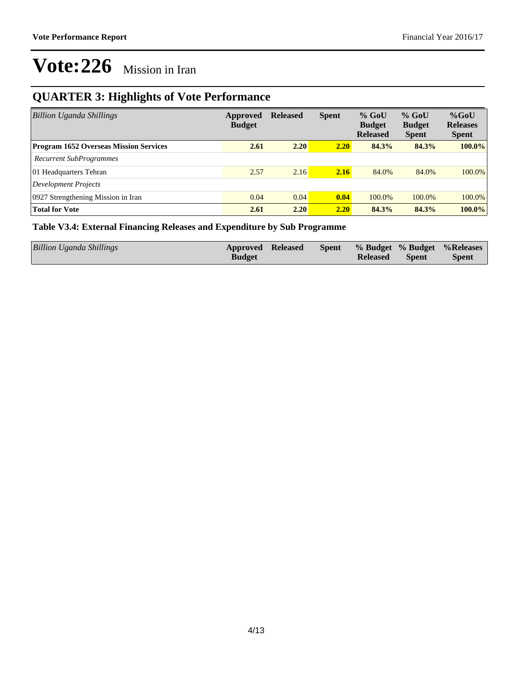## **QUARTER 3: Highlights of Vote Performance**

| Billion Uganda Shillings                      | Approved<br><b>Budget</b> | <b>Released</b> | <b>Spent</b> | $%$ GoU<br><b>Budget</b><br><b>Released</b> | $%$ GoU<br><b>Budget</b><br><b>Spent</b> | $%$ GoU<br><b>Releases</b><br><b>Spent</b> |
|-----------------------------------------------|---------------------------|-----------------|--------------|---------------------------------------------|------------------------------------------|--------------------------------------------|
| <b>Program 1652 Overseas Mission Services</b> | 2.61                      | 2.20            | 2.20         | 84.3%                                       | 84.3%                                    | $100.0\%$                                  |
| <b>Recurrent SubProgrammes</b>                |                           |                 |              |                                             |                                          |                                            |
| 01 Headquarters Tehran                        | 2.57                      | 2.16            | 2.16         | 84.0%                                       | 84.0%                                    | $100.0\%$                                  |
| Development Projects                          |                           |                 |              |                                             |                                          |                                            |
| 0927 Strengthening Mission in Iran            | 0.04                      | 0.04            | 0.04         | 100.0%                                      | 100.0%                                   | $100.0\%$                                  |
| <b>Total for Vote</b>                         | 2.61                      | 2.20            | 2.20         | 84.3%                                       | 84.3%                                    | $100.0\%$                                  |

### **Table V3.4: External Financing Releases and Expenditure by Sub Programme**

| Billion Uganda Shillings | Approved Released |  |                 |              | Spent % Budget % Budget % Releases |
|--------------------------|-------------------|--|-----------------|--------------|------------------------------------|
|                          | <b>Budget</b>     |  | <b>Released</b> | <b>Spent</b> | <b>Spent</b>                       |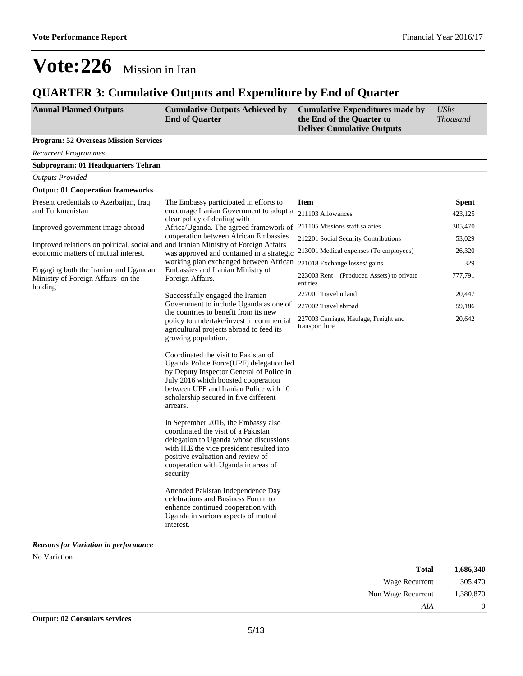Non Wage Recurrent 1,380,870

*AIA* 0

# **Vote:226** Mission in Iran

### **QUARTER 3: Cumulative Outputs and Expenditure by End of Quarter**

| <b>Annual Planned Outputs</b>                                                       | <b>Cumulative Outputs Achieved by</b><br><b>End of Quarter</b>                                                                                                                                                                                                    | <b>Cumulative Expenditures made by</b><br>the End of the Quarter to<br><b>Deliver Cumulative Outputs</b> | <b>UShs</b><br><b>Thousand</b> |
|-------------------------------------------------------------------------------------|-------------------------------------------------------------------------------------------------------------------------------------------------------------------------------------------------------------------------------------------------------------------|----------------------------------------------------------------------------------------------------------|--------------------------------|
| <b>Program: 52 Overseas Mission Services</b>                                        |                                                                                                                                                                                                                                                                   |                                                                                                          |                                |
| <b>Recurrent Programmes</b>                                                         |                                                                                                                                                                                                                                                                   |                                                                                                          |                                |
| <b>Subprogram: 01 Headquarters Tehran</b>                                           |                                                                                                                                                                                                                                                                   |                                                                                                          |                                |
| <b>Outputs Provided</b>                                                             |                                                                                                                                                                                                                                                                   |                                                                                                          |                                |
| <b>Output: 01 Cooperation frameworks</b>                                            |                                                                                                                                                                                                                                                                   |                                                                                                          |                                |
| Present credentials to Azerbaijan, Iraq<br>and Turkmenistan                         | The Embassy participated in efforts to<br>encourage Iranian Government to adopt a                                                                                                                                                                                 | <b>Item</b>                                                                                              | <b>Spent</b>                   |
|                                                                                     | clear policy of dealing with                                                                                                                                                                                                                                      | 211103 Allowances                                                                                        | 423,125                        |
| Improved government image abroad                                                    | Africa/Uganda. The agreed framework of                                                                                                                                                                                                                            | 211105 Missions staff salaries                                                                           | 305,470                        |
| Improved relations on political, social and and Iranian Ministry of Foreign Affairs | cooperation between African Embassies                                                                                                                                                                                                                             | 212201 Social Security Contributions                                                                     | 53,029                         |
| economic matters of mutual interest.                                                | was approved and contained in a strategic<br>working plan exchanged between African                                                                                                                                                                               | 213001 Medical expenses (To employees)<br>221018 Exchange losses/ gains                                  | 26,320<br>329                  |
| Engaging both the Iranian and Ugandan                                               | Embassies and Iranian Ministry of                                                                                                                                                                                                                                 |                                                                                                          |                                |
| Ministry of Foreign Affairs on the<br>holding                                       | Foreign Affairs.                                                                                                                                                                                                                                                  | 223003 Rent – (Produced Assets) to private<br>entities                                                   | 777,791                        |
|                                                                                     | Successfully engaged the Iranian                                                                                                                                                                                                                                  | 227001 Travel inland                                                                                     | 20,447                         |
|                                                                                     | Government to include Uganda as one of<br>the countries to benefit from its new                                                                                                                                                                                   | 227002 Travel abroad                                                                                     | 59,186                         |
|                                                                                     | policy to undertake/invest in commercial<br>agricultural projects abroad to feed its<br>growing population.                                                                                                                                                       | 227003 Carriage, Haulage, Freight and<br>transport hire                                                  | 20,642                         |
|                                                                                     | Coordinated the visit to Pakistan of<br>Uganda Police Force(UPF) delegation led<br>by Deputy Inspector General of Police in<br>July 2016 which boosted cooperation<br>between UPF and Iranian Police with 10<br>scholarship secured in five different<br>arrears. |                                                                                                          |                                |
|                                                                                     | In September 2016, the Embassy also<br>coordinated the visit of a Pakistan<br>delegation to Uganda whose discussions<br>with H.E the vice president resulted into<br>positive evaluation and review of<br>cooperation with Uganda in areas of<br>security         |                                                                                                          |                                |
|                                                                                     | Attended Pakistan Independence Day<br>celebrations and Business Forum to<br>enhance continued cooperation with<br>Uganda in various aspects of mutual<br>interest.                                                                                                |                                                                                                          |                                |
| <b>Reasons for Variation in performance</b>                                         |                                                                                                                                                                                                                                                                   |                                                                                                          |                                |
| No Variation                                                                        |                                                                                                                                                                                                                                                                   |                                                                                                          |                                |
|                                                                                     |                                                                                                                                                                                                                                                                   | <b>Total</b>                                                                                             | 1,686,340                      |
|                                                                                     |                                                                                                                                                                                                                                                                   | Wage Recurrent                                                                                           | 305,470                        |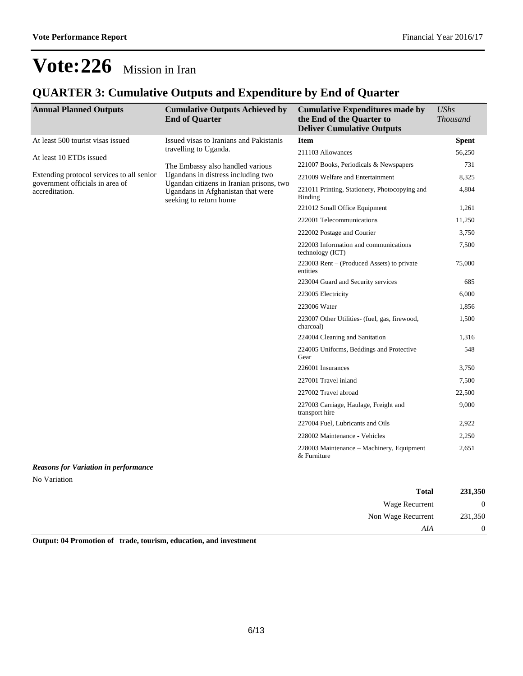## **QUARTER 3: Cumulative Outputs and Expenditure by End of Quarter**

| <b>Annual Planned Outputs</b>                                                                  | <b>Cumulative Outputs Achieved by</b><br><b>End of Quarter</b>                                          | <b>Cumulative Expenditures made by</b><br>the End of the Quarter to<br><b>Deliver Cumulative Outputs</b> | <b>UShs</b><br><b>Thousand</b> |
|------------------------------------------------------------------------------------------------|---------------------------------------------------------------------------------------------------------|----------------------------------------------------------------------------------------------------------|--------------------------------|
| At least 500 tourist visas issued                                                              | Issued visas to Iranians and Pakistanis                                                                 | <b>Item</b>                                                                                              | <b>Spent</b>                   |
| At least 10 ETDs issued                                                                        | travelling to Uganda.                                                                                   | 211103 Allowances                                                                                        | 56,250                         |
| Extending protocol services to all senior<br>government officials in area of<br>accreditation. | The Embassy also handled various<br>Ugandans in distress including two                                  | 221007 Books, Periodicals & Newspapers                                                                   | 731                            |
|                                                                                                |                                                                                                         | 221009 Welfare and Entertainment                                                                         | 8,325                          |
|                                                                                                | Ugandan citizens in Iranian prisons, two<br>Ugandans in Afghanistan that were<br>seeking to return home | 221011 Printing, Stationery, Photocopying and<br><b>Binding</b>                                          | 4,804                          |
|                                                                                                |                                                                                                         | 221012 Small Office Equipment                                                                            | 1,261                          |
|                                                                                                |                                                                                                         | 222001 Telecommunications                                                                                | 11,250                         |
|                                                                                                |                                                                                                         | 222002 Postage and Courier                                                                               | 3,750                          |
|                                                                                                |                                                                                                         | 222003 Information and communications<br>technology (ICT)                                                | 7,500                          |
|                                                                                                |                                                                                                         | 223003 Rent $-$ (Produced Assets) to private<br>entities                                                 | 75,000                         |
|                                                                                                |                                                                                                         | 223004 Guard and Security services                                                                       | 685                            |
|                                                                                                |                                                                                                         | 223005 Electricity                                                                                       | 6,000                          |
|                                                                                                |                                                                                                         | 223006 Water                                                                                             | 1,856                          |
|                                                                                                |                                                                                                         | 223007 Other Utilities- (fuel, gas, firewood,<br>charcoal)                                               | 1,500                          |
|                                                                                                |                                                                                                         | 224004 Cleaning and Sanitation                                                                           | 1,316                          |
|                                                                                                |                                                                                                         | 224005 Uniforms, Beddings and Protective<br>Gear                                                         | 548                            |
|                                                                                                |                                                                                                         | 226001 Insurances                                                                                        | 3,750                          |
|                                                                                                |                                                                                                         | 227001 Travel inland                                                                                     | 7,500                          |
|                                                                                                |                                                                                                         | 227002 Travel abroad                                                                                     | 22,500                         |
|                                                                                                |                                                                                                         | 227003 Carriage, Haulage, Freight and<br>transport hire                                                  | 9,000                          |
|                                                                                                |                                                                                                         | 227004 Fuel, Lubricants and Oils                                                                         | 2,922                          |
|                                                                                                |                                                                                                         | 228002 Maintenance - Vehicles                                                                            | 2,250                          |
|                                                                                                |                                                                                                         | 228003 Maintenance - Machinery, Equipment<br>& Furniture                                                 | 2,651                          |
| <b>Reasons for Variation in performance</b>                                                    |                                                                                                         |                                                                                                          |                                |
| No Variation                                                                                   |                                                                                                         |                                                                                                          |                                |

| 231,350        | <b>Total</b>       |
|----------------|--------------------|
| $\overline{0}$ | Wage Recurrent     |
| 231,350        | Non Wage Recurrent |
| $\overline{0}$ | AIA                |
|                |                    |

**Output: 04 Promotion of trade, tourism, education, and investment**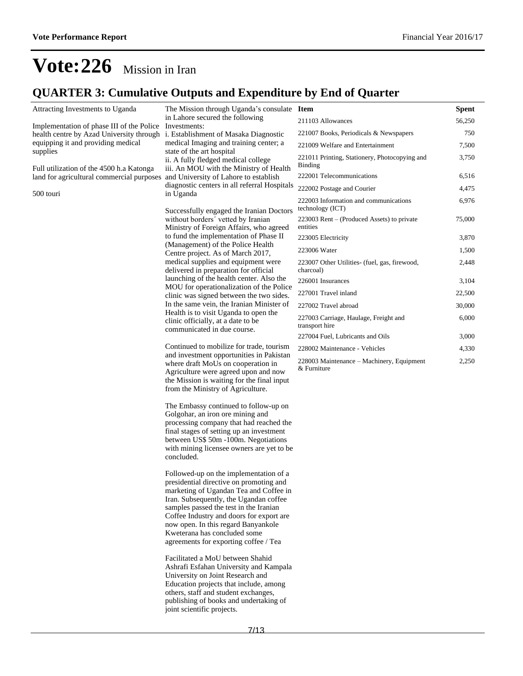## **QUARTER 3: Cumulative Outputs and Expenditure by End of Quarter**

| Attracting Investments to Uganda                                                | The Mission through Uganda's consulate Item<br>in Lahore secured the following                                                                                                                                                                                                                                                                                              |                                                            | <b>Spent</b> |
|---------------------------------------------------------------------------------|-----------------------------------------------------------------------------------------------------------------------------------------------------------------------------------------------------------------------------------------------------------------------------------------------------------------------------------------------------------------------------|------------------------------------------------------------|--------------|
| Implementation of phase III of the Police Investments:                          |                                                                                                                                                                                                                                                                                                                                                                             | 211103 Allowances                                          | 56,250       |
| health centre by Azad University through<br>equipping it and providing medical  | i. Establishment of Masaka Diagnostic<br>medical Imaging and training center; a                                                                                                                                                                                                                                                                                             | 221007 Books, Periodicals & Newspapers                     | 750          |
| supplies                                                                        | state of the art hospital                                                                                                                                                                                                                                                                                                                                                   | 221009 Welfare and Entertainment                           | 7,500        |
| Full utilization of the 4500 h.a Katonga                                        | ii. A fully fledged medical college<br>iii. An MOU with the Ministry of Health<br>diagnostic centers in all referral Hospitals                                                                                                                                                                                                                                              | 221011 Printing, Stationery, Photocopying and<br>Binding   | 3,750        |
| land for agricultural commercial purposes and University of Lahore to establish |                                                                                                                                                                                                                                                                                                                                                                             | 222001 Telecommunications                                  | 6,516        |
| 500 touri                                                                       | in Uganda                                                                                                                                                                                                                                                                                                                                                                   | 222002 Postage and Courier                                 | 4,475        |
|                                                                                 | Successfully engaged the Iranian Doctors<br>without borders' vetted by Iranian<br>Ministry of Foreign Affairs, who agreed                                                                                                                                                                                                                                                   | 222003 Information and communications<br>technology (ICT)  | 6,976        |
|                                                                                 |                                                                                                                                                                                                                                                                                                                                                                             | 223003 Rent – (Produced Assets) to private<br>entities     | 75,000       |
|                                                                                 | to fund the implementation of Phase II                                                                                                                                                                                                                                                                                                                                      | 223005 Electricity                                         | 3,870        |
|                                                                                 | (Management) of the Police Health<br>Centre project. As of March 2017,                                                                                                                                                                                                                                                                                                      | 223006 Water                                               | 1,500        |
|                                                                                 | medical supplies and equipment were<br>delivered in preparation for official                                                                                                                                                                                                                                                                                                | 223007 Other Utilities- (fuel, gas, firewood,<br>charcoal) | 2,448        |
|                                                                                 | launching of the health center. Also the                                                                                                                                                                                                                                                                                                                                    | 226001 Insurances                                          | 3,104        |
|                                                                                 | MOU for operationalization of the Police<br>clinic was signed between the two sides.                                                                                                                                                                                                                                                                                        | 227001 Travel inland                                       | 22,500       |
|                                                                                 | In the same vein, the Iranian Minister of                                                                                                                                                                                                                                                                                                                                   | 227002 Travel abroad                                       | 30,000       |
|                                                                                 | Health is to visit Uganda to open the<br>clinic officially, at a date to be                                                                                                                                                                                                                                                                                                 | 227003 Carriage, Haulage, Freight and                      | 6,000        |
|                                                                                 | communicated in due course.                                                                                                                                                                                                                                                                                                                                                 | transport hire<br>227004 Fuel, Lubricants and Oils         | 3,000        |
|                                                                                 | Continued to mobilize for trade, tourism                                                                                                                                                                                                                                                                                                                                    | 228002 Maintenance - Vehicles                              | 4,330        |
|                                                                                 | and investment opportunities in Pakistan<br>where draft MoUs on cooperation in<br>Agriculture were agreed upon and now<br>the Mission is waiting for the final input<br>from the Ministry of Agriculture.                                                                                                                                                                   | 228003 Maintenance – Machinery, Equipment<br>& Furniture   | 2,250        |
|                                                                                 | The Embassy continued to follow-up on<br>Golgohar, an iron ore mining and<br>processing company that had reached the<br>final stages of setting up an investment<br>between US\$ 50m -100m. Negotiations<br>with mining licensee owners are yet to be<br>concluded.                                                                                                         |                                                            |              |
|                                                                                 | Followed-up on the implementation of a<br>presidential directive on promoting and<br>marketing of Ugandan Tea and Coffee in<br>Iran. Subsequently, the Ugandan coffee<br>samples passed the test in the Iranian<br>Coffee Industry and doors for export are<br>now open. In this regard Banyankole<br>Kweterana has concluded some<br>agreements for exporting coffee / Tea |                                                            |              |
|                                                                                 | Facilitated a MoU between Shahid<br>Ashrafi Esfahan University and Kampala<br>University on Joint Research and<br>Education projects that include, among<br>others, staff and student exchanges,<br>publishing of books and undertaking of<br>joint scientific projects.                                                                                                    |                                                            |              |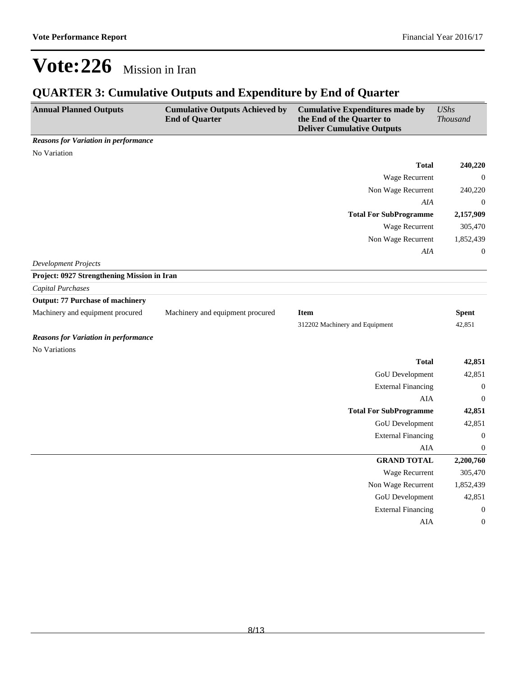## **QUARTER 3: Cumulative Outputs and Expenditure by End of Quarter**

| <b>Annual Planned Outputs</b>               | <b>Cumulative Outputs Achieved by</b><br><b>End of Quarter</b> | <b>Cumulative Expenditures made by</b><br>the End of the Quarter to<br><b>Deliver Cumulative Outputs</b> | <b>UShs</b><br>Thousand |
|---------------------------------------------|----------------------------------------------------------------|----------------------------------------------------------------------------------------------------------|-------------------------|
| <b>Reasons for Variation in performance</b> |                                                                |                                                                                                          |                         |
| No Variation                                |                                                                |                                                                                                          |                         |
|                                             |                                                                | <b>Total</b>                                                                                             | 240,220                 |
|                                             |                                                                | Wage Recurrent                                                                                           | $\mathbf{0}$            |
|                                             |                                                                | Non Wage Recurrent                                                                                       | 240,220                 |
|                                             |                                                                | AIA                                                                                                      | $\boldsymbol{0}$        |
|                                             |                                                                | <b>Total For SubProgramme</b>                                                                            | 2,157,909               |
|                                             |                                                                | Wage Recurrent                                                                                           | 305,470                 |
|                                             |                                                                | Non Wage Recurrent                                                                                       | 1,852,439               |
|                                             |                                                                | AIA                                                                                                      | $\boldsymbol{0}$        |
| <b>Development Projects</b>                 |                                                                |                                                                                                          |                         |
| Project: 0927 Strengthening Mission in Iran |                                                                |                                                                                                          |                         |
| <b>Capital Purchases</b>                    |                                                                |                                                                                                          |                         |
| <b>Output: 77 Purchase of machinery</b>     |                                                                |                                                                                                          |                         |
| Machinery and equipment procured            | Machinery and equipment procured                               | <b>Item</b>                                                                                              | <b>Spent</b>            |
|                                             |                                                                | 312202 Machinery and Equipment                                                                           | 42,851                  |
| <b>Reasons for Variation in performance</b> |                                                                |                                                                                                          |                         |
| No Variations                               |                                                                |                                                                                                          |                         |
|                                             |                                                                | <b>Total</b>                                                                                             | 42,851                  |
|                                             |                                                                | GoU Development                                                                                          | 42,851                  |
|                                             |                                                                | <b>External Financing</b>                                                                                | $\boldsymbol{0}$        |
|                                             |                                                                | <b>AIA</b>                                                                                               | $\boldsymbol{0}$        |
|                                             |                                                                | <b>Total For SubProgramme</b>                                                                            | 42,851                  |
|                                             |                                                                | GoU Development                                                                                          | 42,851                  |
|                                             |                                                                | <b>External Financing</b>                                                                                | $\boldsymbol{0}$        |
|                                             |                                                                | AIA                                                                                                      | $\boldsymbol{0}$        |
|                                             |                                                                | <b>GRAND TOTAL</b>                                                                                       | 2,200,760               |
|                                             |                                                                | Wage Recurrent                                                                                           | 305,470                 |
|                                             |                                                                | Non Wage Recurrent                                                                                       | 1,852,439               |
|                                             |                                                                | <b>GoU</b> Development                                                                                   | 42,851                  |
|                                             |                                                                | <b>External Financing</b>                                                                                | $\boldsymbol{0}$        |
|                                             |                                                                | AIA                                                                                                      | $\boldsymbol{0}$        |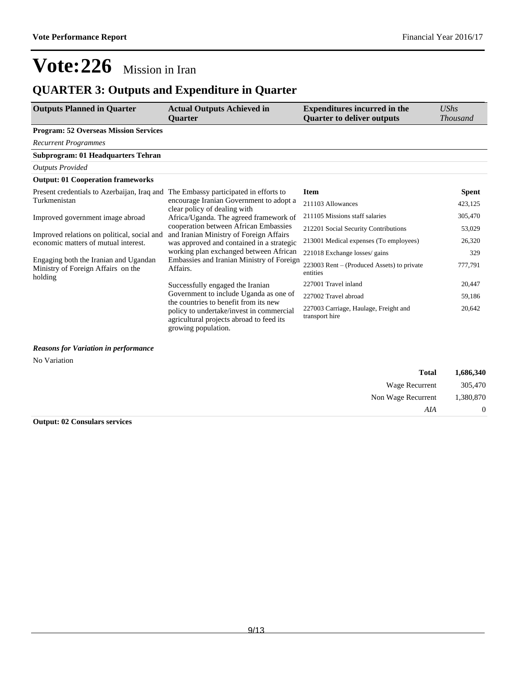## **QUARTER 3: Outputs and Expenditure in Quarter**

| <b>Outputs Planned in Quarter</b>                                                      | <b>Actual Outputs Achieved in</b><br><b>Ouarter</b>                                                                                                                                            | <b>Expenditures incurred in the</b><br><b>Quarter to deliver outputs</b> | UShs<br><i>Thousand</i> |
|----------------------------------------------------------------------------------------|------------------------------------------------------------------------------------------------------------------------------------------------------------------------------------------------|--------------------------------------------------------------------------|-------------------------|
| <b>Program: 52 Overseas Mission Services</b>                                           |                                                                                                                                                                                                |                                                                          |                         |
| <b>Recurrent Programmes</b>                                                            |                                                                                                                                                                                                |                                                                          |                         |
| <b>Subprogram: 01 Headquarters Tehran</b>                                              |                                                                                                                                                                                                |                                                                          |                         |
| <b>Outputs Provided</b>                                                                |                                                                                                                                                                                                |                                                                          |                         |
| <b>Output: 01 Cooperation frameworks</b>                                               |                                                                                                                                                                                                |                                                                          |                         |
| Present credentials to Azerbaijan, Iraq and The Embassy participated in efforts to     |                                                                                                                                                                                                | <b>Item</b>                                                              | <b>Spent</b>            |
| Turkmenistan                                                                           | encourage Iranian Government to adopt a<br>clear policy of dealing with                                                                                                                        | 211103 Allowances                                                        | 423,125                 |
| Improved government image abroad                                                       | Africa/Uganda. The agreed framework of                                                                                                                                                         | 211105 Missions staff salaries                                           | 305,470                 |
|                                                                                        | cooperation between African Embassies                                                                                                                                                          | 212201 Social Security Contributions                                     | 53,029                  |
| Improved relations on political, social and<br>economic matters of mutual interest.    | and Iranian Ministry of Foreign Affairs<br>was approved and contained in a strategic                                                                                                           | 213001 Medical expenses (To employees)                                   | 26,320                  |
|                                                                                        | working plan exchanged between African                                                                                                                                                         | 221018 Exchange losses/ gains                                            | 329                     |
| Engaging both the Iranian and Ugandan<br>Ministry of Foreign Affairs on the<br>holding | Embassies and Iranian Ministry of Foreign<br>Affairs.                                                                                                                                          | 223003 Rent - (Produced Assets) to private<br>entities                   | 777,791                 |
|                                                                                        | Successfully engaged the Iranian                                                                                                                                                               | 227001 Travel inland                                                     | 20,447                  |
|                                                                                        | Government to include Uganda as one of<br>the countries to benefit from its new<br>policy to undertake/invest in commercial<br>agricultural projects abroad to feed its<br>growing population. | 227002 Travel abroad                                                     | 59,186                  |
|                                                                                        |                                                                                                                                                                                                | 227003 Carriage, Haulage, Freight and<br>transport hire                  | 20,642                  |

#### *Reasons for Variation in performance*

No Variation

| 1,686,340      | <b>Total</b>       |
|----------------|--------------------|
| 305,470        | Wage Recurrent     |
| 1,380,870      | Non Wage Recurrent |
| $\overline{0}$ | AIA                |

**Output: 02 Consulars services**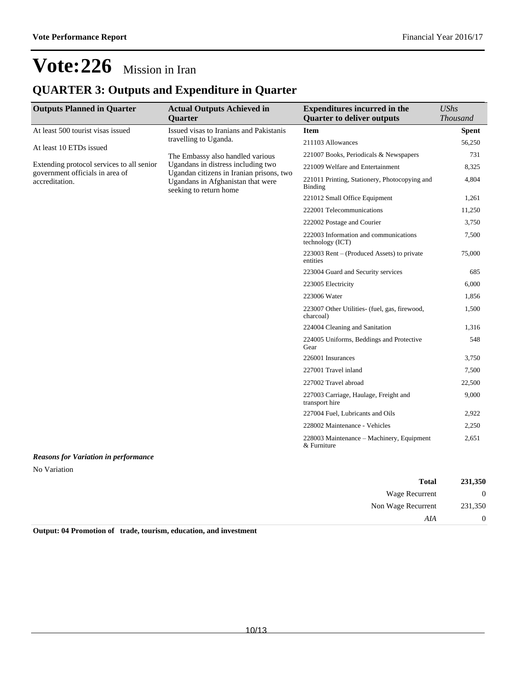## **QUARTER 3: Outputs and Expenditure in Quarter**

| <b>Outputs Planned in Quarter</b>                 | <b>Actual Outputs Achieved in</b><br><b>Quarter</b>                                                                                           | <b>Expenditures incurred in the</b><br><b>Quarter to deliver outputs</b> | <b>UShs</b><br><b>Thousand</b> |
|---------------------------------------------------|-----------------------------------------------------------------------------------------------------------------------------------------------|--------------------------------------------------------------------------|--------------------------------|
| At least 500 tourist visas issued                 | Issued visas to Iranians and Pakistanis                                                                                                       | <b>Item</b>                                                              | <b>Spent</b>                   |
| At least 10 ETDs issued                           | travelling to Uganda.                                                                                                                         | 211103 Allowances                                                        | 56,250                         |
|                                                   | The Embassy also handled various                                                                                                              | 221007 Books, Periodicals & Newspapers                                   | 731                            |
| Extending protocol services to all senior         | Ugandans in distress including two<br>Ugandan citizens in Iranian prisons, two<br>Ugandans in Afghanistan that were<br>seeking to return home | 221009 Welfare and Entertainment                                         | 8,325                          |
| government officials in area of<br>accreditation. |                                                                                                                                               | 221011 Printing, Stationery, Photocopying and<br><b>Binding</b>          | 4,804                          |
|                                                   |                                                                                                                                               | 221012 Small Office Equipment                                            | 1,261                          |
|                                                   |                                                                                                                                               | 222001 Telecommunications                                                | 11,250                         |
|                                                   |                                                                                                                                               | 222002 Postage and Courier                                               | 3,750                          |
|                                                   |                                                                                                                                               | 222003 Information and communications<br>technology (ICT)                | 7,500                          |
|                                                   |                                                                                                                                               | $223003$ Rent – (Produced Assets) to private<br>entities                 | 75,000                         |
|                                                   |                                                                                                                                               | 223004 Guard and Security services                                       | 685                            |
|                                                   |                                                                                                                                               | 223005 Electricity                                                       | 6,000                          |
|                                                   |                                                                                                                                               | 223006 Water                                                             | 1,856                          |
|                                                   |                                                                                                                                               | 223007 Other Utilities- (fuel, gas, firewood,<br>charcoal)               | 1,500                          |
|                                                   |                                                                                                                                               | 224004 Cleaning and Sanitation                                           | 1,316                          |
|                                                   |                                                                                                                                               | 224005 Uniforms, Beddings and Protective<br>Gear                         | 548                            |
|                                                   |                                                                                                                                               | 226001 Insurances                                                        | 3,750                          |
|                                                   |                                                                                                                                               | 227001 Travel inland                                                     | 7,500                          |
|                                                   |                                                                                                                                               | 227002 Travel abroad                                                     | 22,500                         |
|                                                   |                                                                                                                                               | 227003 Carriage, Haulage, Freight and<br>transport hire                  | 9,000                          |
|                                                   |                                                                                                                                               | 227004 Fuel, Lubricants and Oils                                         | 2,922                          |
|                                                   |                                                                                                                                               | 228002 Maintenance - Vehicles                                            | 2,250                          |
|                                                   |                                                                                                                                               | 228003 Maintenance – Machinery, Equipment<br>& Furniture                 | 2,651                          |

### *Reasons for Variation in performance*

No Variation

| 231,350        | <b>Total</b>       |
|----------------|--------------------|
| $\overline{0}$ | Wage Recurrent     |
| 231,350        | Non Wage Recurrent |
| $\overline{0}$ | AIA                |

**Output: 04 Promotion of trade, tourism, education, and investment**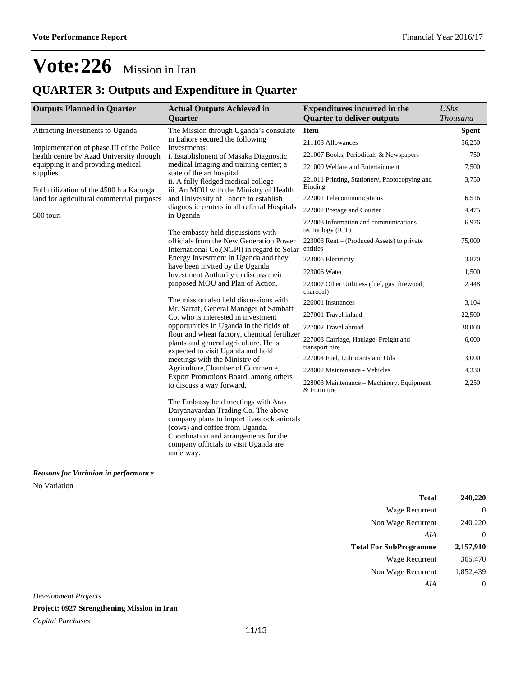## **QUARTER 3: Outputs and Expenditure in Quarter**

| <b>Outputs Planned in Quarter</b>                                                                                                       | <b>Actual Outputs Achieved in</b><br><b>Quarter</b>                                                                                                                                                                                                      | <b>Expenditures incurred in the</b><br><b>Quarter to deliver outputs</b> | <b>UShs</b><br><b>Thousand</b> |
|-----------------------------------------------------------------------------------------------------------------------------------------|----------------------------------------------------------------------------------------------------------------------------------------------------------------------------------------------------------------------------------------------------------|--------------------------------------------------------------------------|--------------------------------|
| Attracting Investments to Uganda                                                                                                        | The Mission through Uganda's consulate                                                                                                                                                                                                                   | <b>Item</b>                                                              | <b>Spent</b>                   |
| Implementation of phase III of the Police<br>health centre by Azad University through<br>equipping it and providing medical<br>supplies | in Lahore secured the following<br>Investments:<br>i. Establishment of Masaka Diagnostic<br>medical Imaging and training center; a<br>state of the art hospital<br>ii. A fully fledged medical college<br>iii. An MOU with the Ministry of Health        | 211103 Allowances                                                        | 56,250                         |
|                                                                                                                                         |                                                                                                                                                                                                                                                          | 221007 Books, Periodicals & Newspapers                                   | 750                            |
|                                                                                                                                         |                                                                                                                                                                                                                                                          | 221009 Welfare and Entertainment                                         | 7,500                          |
| Full utilization of the 4500 h.a Katonga                                                                                                |                                                                                                                                                                                                                                                          | 221011 Printing, Stationery, Photocopying and<br><b>Binding</b>          | 3,750                          |
| land for agricultural commercial purposes                                                                                               | and University of Lahore to establish                                                                                                                                                                                                                    | 222001 Telecommunications                                                | 6,516                          |
| 500 touri                                                                                                                               | diagnostic centers in all referral Hospitals<br>in Uganda                                                                                                                                                                                                | 222002 Postage and Courier                                               | 4,475                          |
|                                                                                                                                         | The embassy held discussions with                                                                                                                                                                                                                        | 222003 Information and communications<br>technology (ICT)                | 6,976                          |
|                                                                                                                                         | officials from the New Generation Power<br>International Co. (NGPI) in regard to Solar                                                                                                                                                                   | $223003$ Rent – (Produced Assets) to private<br>entities                 | 75,000                         |
|                                                                                                                                         | Energy Investment in Uganda and they                                                                                                                                                                                                                     | 223005 Electricity                                                       | 3,870                          |
|                                                                                                                                         | have been invited by the Uganda<br>Investment Authority to discuss their                                                                                                                                                                                 | 223006 Water                                                             | 1,500                          |
|                                                                                                                                         | proposed MOU and Plan of Action.                                                                                                                                                                                                                         | 223007 Other Utilities- (fuel, gas, firewood,<br>charcoal)               | 2,448                          |
|                                                                                                                                         | The mission also held discussions with                                                                                                                                                                                                                   | 226001 Insurances                                                        | 3,104                          |
|                                                                                                                                         | Mr. Sarraf, General Manager of Sambaft<br>Co. who is interested in investment<br>opportunities in Uganda in the fields of<br>flour and wheat factory, chemical fertilizer<br>plants and general agriculture. He is                                       | 227001 Travel inland                                                     | 22,500                         |
|                                                                                                                                         |                                                                                                                                                                                                                                                          | 227002 Travel abroad                                                     | 30,000                         |
|                                                                                                                                         |                                                                                                                                                                                                                                                          | 227003 Carriage, Haulage, Freight and<br>transport hire                  | 6,000                          |
|                                                                                                                                         | expected to visit Uganda and hold<br>meetings with the Ministry of                                                                                                                                                                                       | 227004 Fuel, Lubricants and Oils                                         | 3,000                          |
|                                                                                                                                         | Agriculture, Chamber of Commerce,<br>Export Promotions Board, among others<br>to discuss a way forward.                                                                                                                                                  | 228002 Maintenance - Vehicles                                            | 4,330                          |
|                                                                                                                                         |                                                                                                                                                                                                                                                          | 228003 Maintenance - Machinery, Equipment<br>& Furniture                 | 2,250                          |
|                                                                                                                                         | The Embassy held meetings with Aras<br>Daryanavardan Trading Co. The above<br>company plans to import livestock animals<br>(cows) and coffee from Uganda.<br>Coordination and arrangements for the<br>company officials to visit Uganda are<br>underway. |                                                                          |                                |

*Reasons for Variation in performance* No Variation

| Total                         | 240,220   |
|-------------------------------|-----------|
| <b>Wage Recurrent</b>         | $\theta$  |
| Non Wage Recurrent            | 240,220   |
| AIA                           | $\theta$  |
|                               |           |
| <b>Total For SubProgramme</b> | 2,157,910 |
| <b>Wage Recurrent</b>         | 305,470   |
| Non Wage Recurrent            | 1,852,439 |

*Development Projects*

**Project: 0927 Strengthening Mission in Iran**

*Capital Purchases*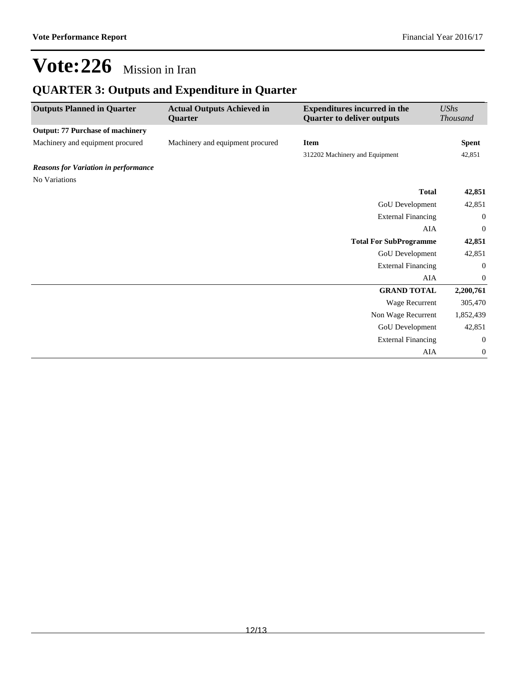## **QUARTER 3: Outputs and Expenditure in Quarter**

| <b>Outputs Planned in Quarter</b>           | <b>Actual Outputs Achieved in</b><br>Quarter | <b>Expenditures incurred in the</b><br><b>Quarter to deliver outputs</b> | <b>UShs</b><br><b>Thousand</b> |
|---------------------------------------------|----------------------------------------------|--------------------------------------------------------------------------|--------------------------------|
| <b>Output: 77 Purchase of machinery</b>     |                                              |                                                                          |                                |
| Machinery and equipment procured            | Machinery and equipment procured             | <b>Item</b>                                                              | <b>Spent</b>                   |
|                                             |                                              | 312202 Machinery and Equipment                                           | 42,851                         |
| <b>Reasons for Variation in performance</b> |                                              |                                                                          |                                |
| No Variations                               |                                              |                                                                          |                                |
|                                             |                                              | <b>Total</b>                                                             | 42,851                         |
|                                             |                                              | GoU Development                                                          | 42,851                         |
|                                             |                                              | <b>External Financing</b>                                                | $\mathbf{0}$                   |
|                                             |                                              | <b>AIA</b>                                                               | $\mathbf{0}$                   |
|                                             |                                              | <b>Total For SubProgramme</b>                                            | 42,851                         |
|                                             |                                              | GoU Development                                                          | 42,851                         |
|                                             |                                              | <b>External Financing</b>                                                | 0                              |
|                                             |                                              | AIA                                                                      | $\mathbf{0}$                   |
|                                             |                                              | <b>GRAND TOTAL</b>                                                       | 2,200,761                      |
|                                             |                                              | Wage Recurrent                                                           | 305,470                        |
|                                             |                                              | Non Wage Recurrent                                                       | 1,852,439                      |
|                                             |                                              | GoU Development                                                          | 42,851                         |
|                                             |                                              | <b>External Financing</b>                                                | $\boldsymbol{0}$               |
|                                             |                                              | AIA                                                                      | $\boldsymbol{0}$               |